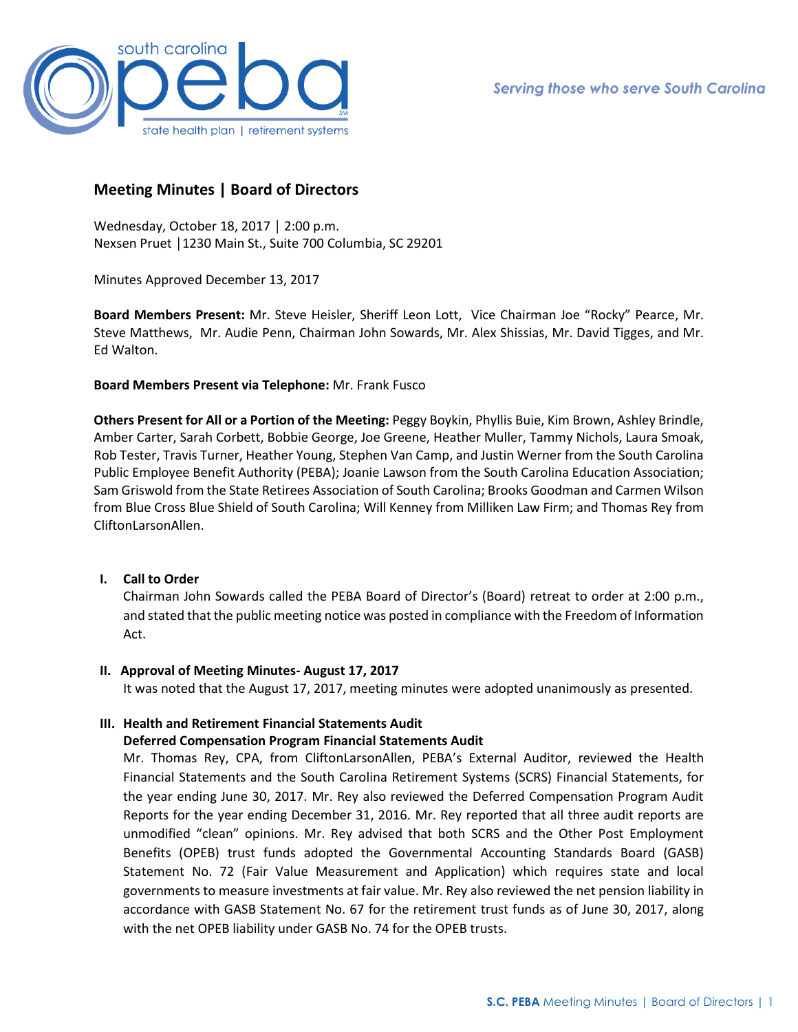

# **Meeting Minutes | Board of Directors**

Wednesday, October 18, 2017 │ 2:00 p.m. Nexsen Pruet │1230 Main St., Suite 700 Columbia, SC 29201

Minutes Approved December 13, 2017

**Board Members Present:** Mr. Steve Heisler, Sheriff Leon Lott, Vice Chairman Joe "Rocky" Pearce, Mr. Steve Matthews, Mr. Audie Penn, Chairman John Sowards, Mr. Alex Shissias, Mr. David Tigges, and Mr. Ed Walton.

**Board Members Present via Telephone:** Mr. Frank Fusco

**Others Present for All or a Portion of the Meeting:** Peggy Boykin, Phyllis Buie, Kim Brown, Ashley Brindle, Amber Carter, Sarah Corbett, Bobbie George, Joe Greene, Heather Muller, Tammy Nichols, Laura Smoak, Rob Tester, Travis Turner, Heather Young, Stephen Van Camp, and Justin Werner from the South Carolina Public Employee Benefit Authority (PEBA); Joanie Lawson from the South Carolina Education Association; Sam Griswold from the State Retirees Association of South Carolina; Brooks Goodman and Carmen Wilson from Blue Cross Blue Shield of South Carolina; Will Kenney from Milliken Law Firm; and Thomas Rey from CliftonLarsonAllen.

# **I. Call to Order**

Chairman John Sowards called the PEBA Board of Director's (Board) retreat to order at 2:00 p.m., and stated that the public meeting notice was posted in compliance with the Freedom of Information Act.

**II. Approval of Meeting Minutes- August 17, 2017**

It was noted that the August 17, 2017, meeting minutes were adopted unanimously as presented.

# **III. Health and Retirement Financial Statements Audit**

## **Deferred Compensation Program Financial Statements Audit**

Mr. Thomas Rey, CPA, from CliftonLarsonAllen, PEBA's External Auditor, reviewed the Health Financial Statements and the South Carolina Retirement Systems (SCRS) Financial Statements, for the year ending June 30, 2017. Mr. Rey also reviewed the Deferred Compensation Program Audit Reports for the year ending December 31, 2016. Mr. Rey reported that all three audit reports are unmodified "clean" opinions. Mr. Rey advised that both SCRS and the Other Post Employment Benefits (OPEB) trust funds adopted the Governmental Accounting Standards Board (GASB) Statement No. 72 (Fair Value Measurement and Application) which requires state and local governments to measure investments at fair value. Mr. Rey also reviewed the net pension liability in accordance with GASB Statement No. 67 for the retirement trust funds as of June 30, 2017, along with the net OPEB liability under GASB No. 74 for the OPEB trusts.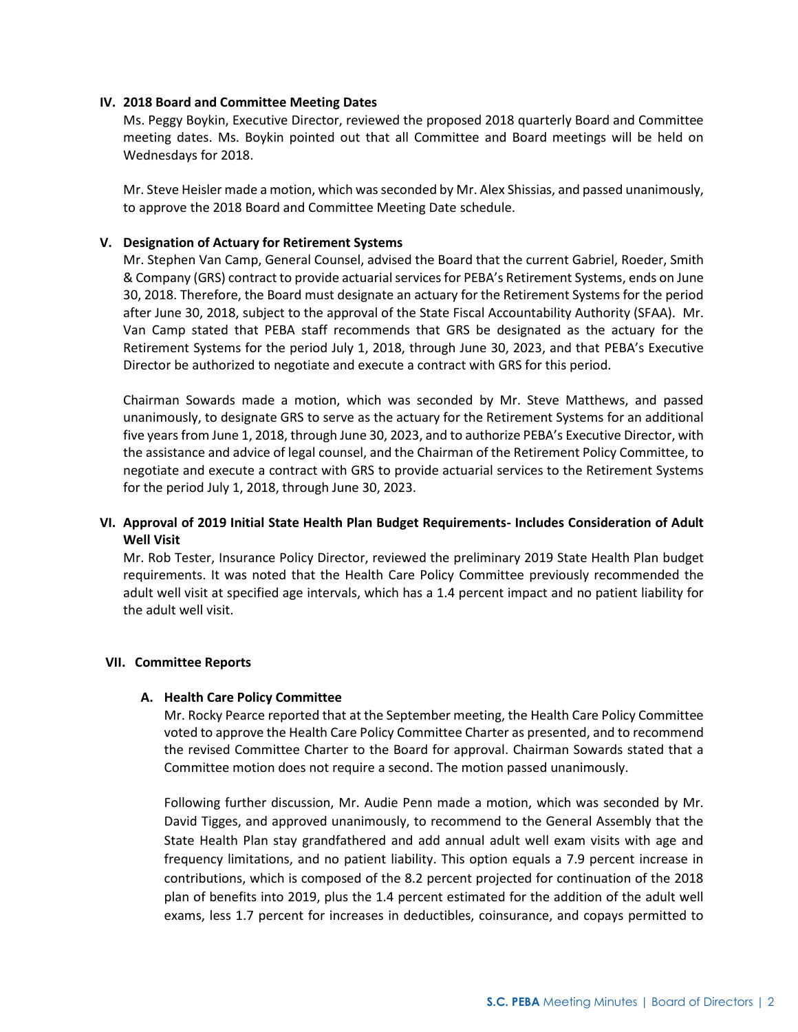## **IV. 2018 Board and Committee Meeting Dates**

Ms. Peggy Boykin, Executive Director, reviewed the proposed 2018 quarterly Board and Committee meeting dates. Ms. Boykin pointed out that all Committee and Board meetings will be held on Wednesdays for 2018.

Mr. Steve Heisler made a motion, which was seconded by Mr. Alex Shissias, and passed unanimously, to approve the 2018 Board and Committee Meeting Date schedule.

### **V. Designation of Actuary for Retirement Systems**

Mr. Stephen Van Camp, General Counsel, advised the Board that the current Gabriel, Roeder, Smith & Company (GRS) contract to provide actuarial services for PEBA's Retirement Systems, ends on June 30, 2018. Therefore, the Board must designate an actuary for the Retirement Systems for the period after June 30, 2018, subject to the approval of the State Fiscal Accountability Authority (SFAA). Mr. Van Camp stated that PEBA staff recommends that GRS be designated as the actuary for the Retirement Systems for the period July 1, 2018, through June 30, 2023, and that PEBA's Executive Director be authorized to negotiate and execute a contract with GRS for this period.

Chairman Sowards made a motion, which was seconded by Mr. Steve Matthews, and passed unanimously, to designate GRS to serve as the actuary for the Retirement Systems for an additional five years from June 1, 2018, through June 30, 2023, and to authorize PEBA's Executive Director, with the assistance and advice of legal counsel, and the Chairman of the Retirement Policy Committee, to negotiate and execute a contract with GRS to provide actuarial services to the Retirement Systems for the period July 1, 2018, through June 30, 2023.

# **VI. Approval of 2019 Initial State Health Plan Budget Requirements- Includes Consideration of Adult Well Visit**

Mr. Rob Tester, Insurance Policy Director, reviewed the preliminary 2019 State Health Plan budget requirements. It was noted that the Health Care Policy Committee previously recommended the adult well visit at specified age intervals, which has a 1.4 percent impact and no patient liability for the adult well visit.

#### **VII. Committee Reports**

#### **A. Health Care Policy Committee**

Mr. Rocky Pearce reported that at the September meeting, the Health Care Policy Committee voted to approve the Health Care Policy Committee Charter as presented, and to recommend the revised Committee Charter to the Board for approval. Chairman Sowards stated that a Committee motion does not require a second. The motion passed unanimously.

Following further discussion, Mr. Audie Penn made a motion, which was seconded by Mr. David Tigges, and approved unanimously, to recommend to the General Assembly that the State Health Plan stay grandfathered and add annual adult well exam visits with age and frequency limitations, and no patient liability. This option equals a 7.9 percent increase in contributions, which is composed of the 8.2 percent projected for continuation of the 2018 plan of benefits into 2019, plus the 1.4 percent estimated for the addition of the adult well exams, less 1.7 percent for increases in deductibles, coinsurance, and copays permitted to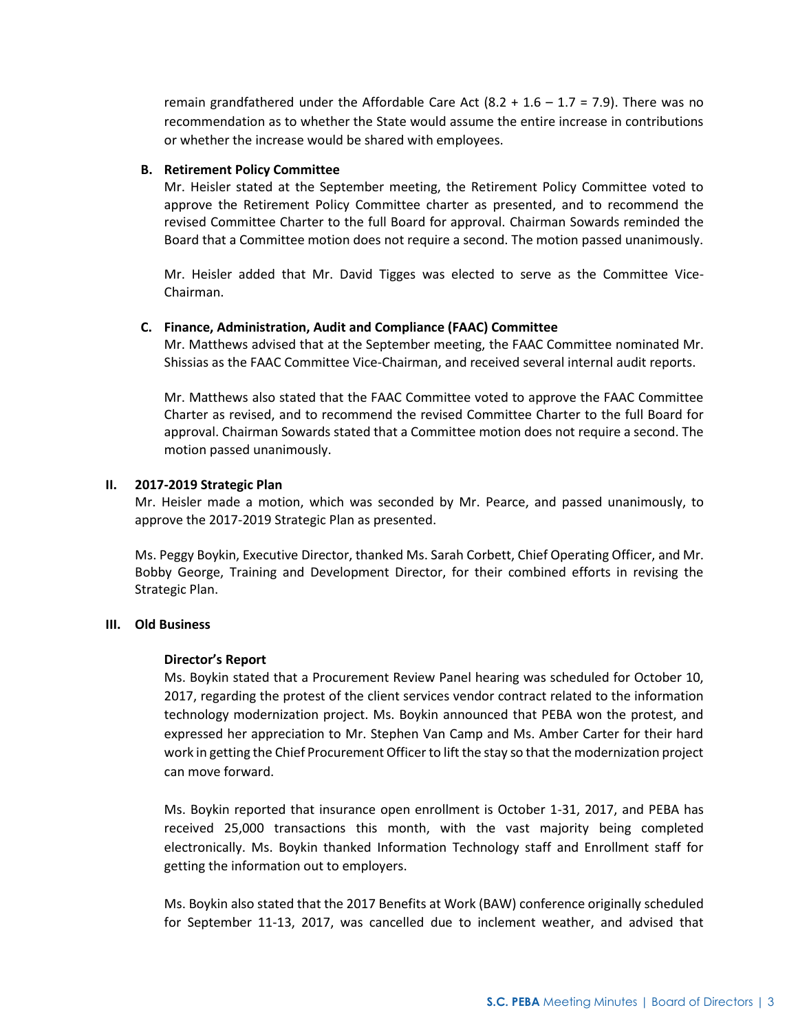remain grandfathered under the Affordable Care Act  $(8.2 + 1.6 - 1.7 = 7.9)$ . There was no recommendation as to whether the State would assume the entire increase in contributions or whether the increase would be shared with employees.

## **B. Retirement Policy Committee**

Mr. Heisler stated at the September meeting, the Retirement Policy Committee voted to approve the Retirement Policy Committee charter as presented, and to recommend the revised Committee Charter to the full Board for approval. Chairman Sowards reminded the Board that a Committee motion does not require a second. The motion passed unanimously.

Mr. Heisler added that Mr. David Tigges was elected to serve as the Committee Vice-Chairman.

# **C. Finance, Administration, Audit and Compliance (FAAC) Committee**

Mr. Matthews advised that at the September meeting, the FAAC Committee nominated Mr. Shissias as the FAAC Committee Vice-Chairman, and received several internal audit reports.

Mr. Matthews also stated that the FAAC Committee voted to approve the FAAC Committee Charter as revised, and to recommend the revised Committee Charter to the full Board for approval. Chairman Sowards stated that a Committee motion does not require a second. The motion passed unanimously.

# **II. 2017-2019 Strategic Plan**

Mr. Heisler made a motion, which was seconded by Mr. Pearce, and passed unanimously, to approve the 2017-2019 Strategic Plan as presented.

Ms. Peggy Boykin, Executive Director, thanked Ms. Sarah Corbett, Chief Operating Officer, and Mr. Bobby George, Training and Development Director, for their combined efforts in revising the Strategic Plan.

## **III. Old Business**

## **Director's Report**

Ms. Boykin stated that a Procurement Review Panel hearing was scheduled for October 10, 2017, regarding the protest of the client services vendor contract related to the information technology modernization project. Ms. Boykin announced that PEBA won the protest, and expressed her appreciation to Mr. Stephen Van Camp and Ms. Amber Carter for their hard work in getting the Chief Procurement Officer to lift the stay so that the modernization project can move forward.

Ms. Boykin reported that insurance open enrollment is October 1-31, 2017, and PEBA has received 25,000 transactions this month, with the vast majority being completed electronically. Ms. Boykin thanked Information Technology staff and Enrollment staff for getting the information out to employers.

Ms. Boykin also stated that the 2017 Benefits at Work (BAW) conference originally scheduled for September 11-13, 2017, was cancelled due to inclement weather, and advised that